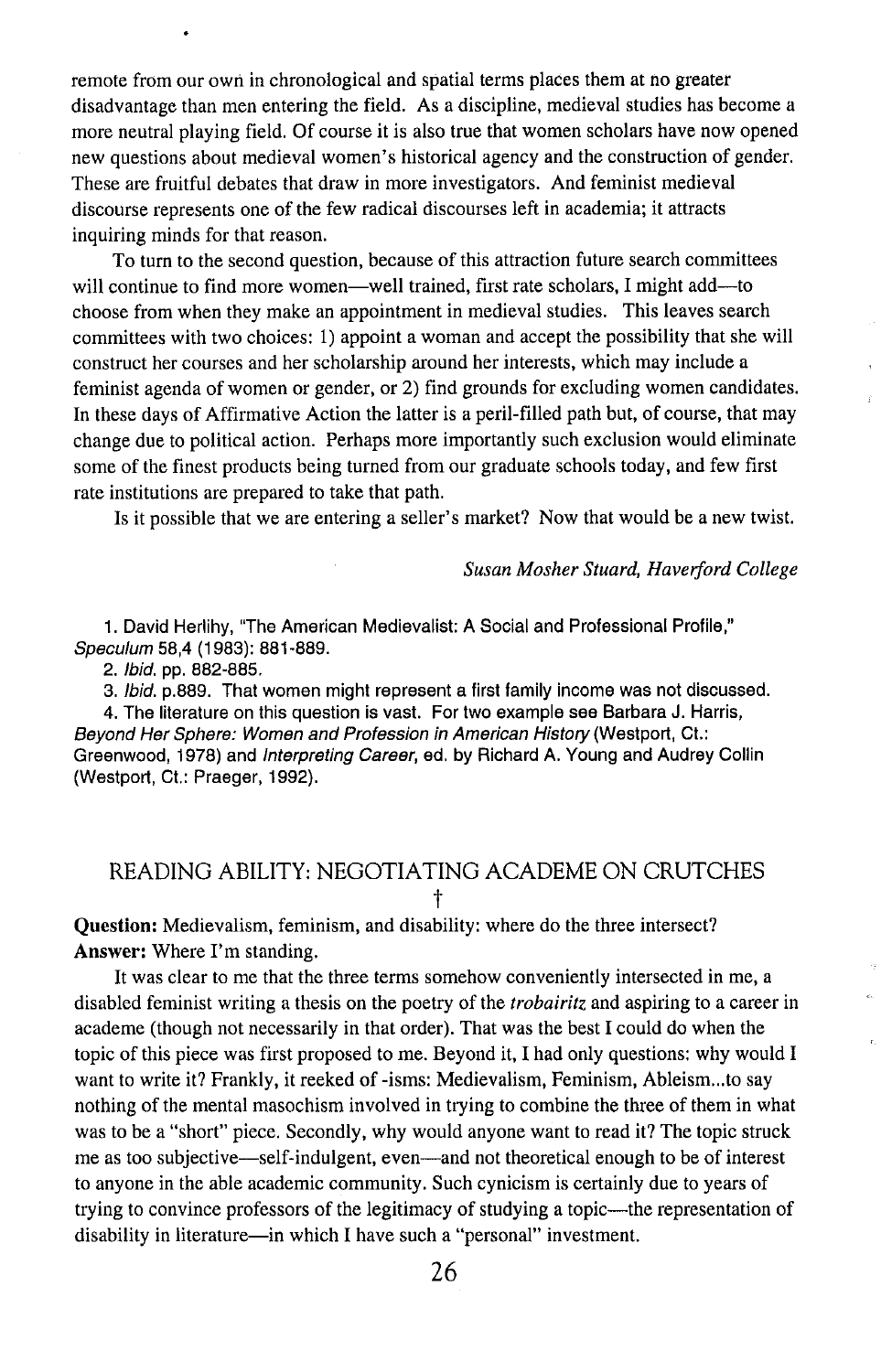remote from our own in chronological and spatial terms places them at no greater disadvantage than men entering the field. As a discipline, medieval studies has become a more neutral playing field. Of course it is also true that women scholars have now opened new questions about medieval women's historical agency and the construction of gender. These are fruitful debates that draw in more investigators. And feminist medieval discourse represents one of the few radical discourses left in academia; it attracts inquiring minds for that reason.

To turn to the second question, because of this attraction future search committees will continue to find more women—well trained, first rate scholars, I might add—to choose from when they make an appointment in medieval studies. This leaves search committees with two choices: I) appoint a woman and accept the possibility that she will construct her courses and her scholarship around her interests, which may include a feminist agenda of women or gender, or 2) find grounds for excluding women candidates. In these days of Affirmative Action the latter is a peril-filled path but, of course, that may change due to political action. Perhaps more importantly such exclusion would eliminate some of the finest products being turned from our graduate schools today, and few first rate institutions are prepared to take that path.

Is it possible that we are entering a seller's market? Now that would be a new twist.

## *Susan Mosher Stuard, Haverford College*

1. David Herlihy, "The American Medievalist: A Social and Professional Profile," Speculum 58,4 (1983): 881-889.

2. Ibid. pp. 882-885.

3. Ibid. p.889. That women might represent a first family income was not discussed.

4. The literature on this question is vast. For two example see Barbara J. Harris, Beyond Her Sphere: Women and Profession in American History (Westport, Ct.: Greenwood, 1978) and Interpreting Career, ed. by Richard A. Young and Audrey Collin (Westport, Ct.: Praeger, 1992).

## READING ABILITY: NEGOTIATING ACADEME ON CRUTCHES t

Question: Medievalism, feminism, and disability: where do the three intersect? Answer: Where I'm standing.

It was clear to me that the three terms somehow conveniently intersected in me, a disabled feminist writing a thesis on the poetry of the *trobairitz* and aspiring to a career in academe (though not necessarily in that order). That was the best I could do when the topic of this piece was first proposed to me. Beyond it, I had only questions: why would I want to write it? Frankly, it reeked of -isms: Medievalism, Feminism, Ableism...to say nothing of the mental masochism involved in trying to combine the three of them in what was to be a "short" piece. Secondly, why would anyone want to read it? The topic struck me as too subjective-self-indulgent, even-and not theoretical enough to be of interest to anyone in the able academic community. Such cynicism is certainly due to years of trying to convince professors of the legitimacy of studying a topic—the representation of disability in literature-in which I have such a "personal" investment.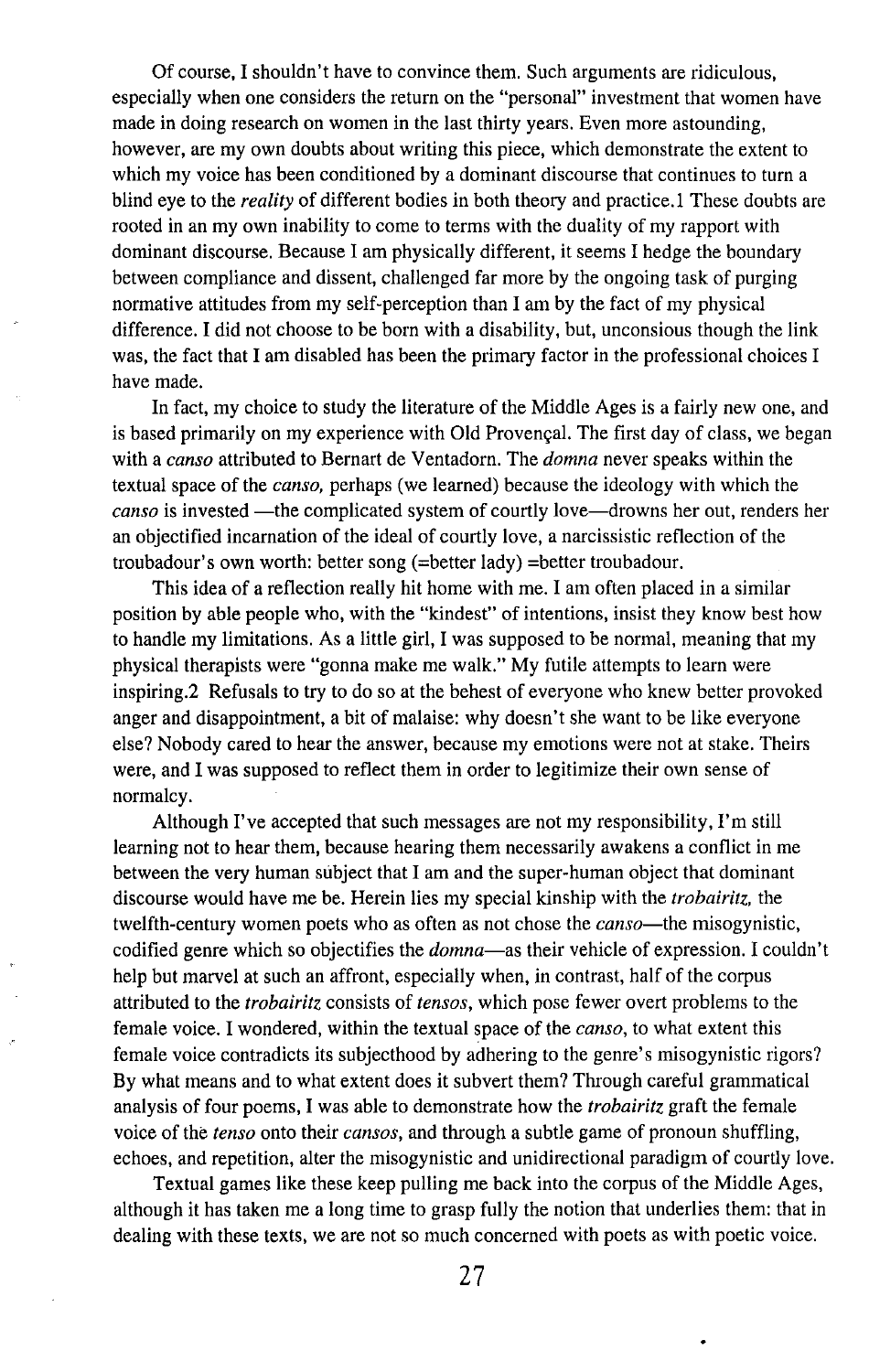Of course, I shouldn't have to convince them. Such arguments are ridiculous, especially when one considers the return on the "personal" investment that women have made in doing research on women in the last thirty years. Even more astounding, however, are my own doubts about writing this piece, which demonstrate the extent to which my voice has been conditioned by a dominant discourse that continues to turn a blind eye to the *reality* of different bodies in both theory and practice.l These doubts are rooted in an my own inability to come to terms with the duality of my rapport with dominant discourse. Because I am physically different, it seems I hedge the boundary between compliance and dissent, challenged far more by the ongoing task of purging normative attitudes from my self-perception than I am by the fact of my physical difference. I did not choose to be born with a disability, but, unconsious though the link was, the fact that I am disabled has been the primary factor in the professional choices I have made.

In fact, my choice to study the literature of the Middle Ages is a fairly new one, and is based primarily on my experience with Old Provençal. The first day of class, we began with a *canso* attributed to Bernart de Ventadorn. The *domna* never speaks within the textual space of the *canso,* perhaps (we learned) because the ideology with which the *canso* is invested —the complicated system of courtly love—drowns her out, renders her an objectified incarnation of the ideal of courtly love, a narcissistic reflection of the troubadour's own worth: better song (=better lady) =better troubadour.

This idea of a reflection really hit home with me. I am often placed in a similar position by able people who, with the "kindest" of intentions, insist they know best how to handle my limitations. As a little girl, I was supposed to be normal, meaning that my physical therapists were "gonna make me walk." My futile attempts to learn were inspiring.2 Refusals to try to do so at the behest of everyone who knew better provoked anger and disappointment, a bit of malaise: why doesn't she want to be like everyone else? Nobody cared to hear the answer, because my emotions were not at stake. Theirs were, and I was supposed to reflect them in order to legitimize their own sense of normalcy.

Although I've accepted that such messages are not my responsibility, I'm still learning not to hear them, because hearing them necessarily awakens a conflict in me between the very human subject that I am and the super-human object that dominant discourse would have me be. Herein lies my special kinship with the *trobairitz,* the twelfth-century women poets who as often as not chose the *canso*—the misogynistic, codified genre which so objectifies the *domna-as* their vehicle of expression. I couldn't help but marvel at such an affront, especially when, in contrast, half of the corpus attributed to the *trobairitz* consists of *tensos,* which pose fewer overt problems to the female voice. I wondered, within the textual space of the *canso,* to what extent this female voice contradicts its subjecthood by adhering to the genre's misogynistic rigors? By what means and to what extent does it subvert them? Through careful grammatical analysis of four poems, I was able to demonstrate how the *trobairitz* graft the female voice of the *tenso* onto their *cansos,* and through a subtle game of pronoun shuffling, echoes, and repetition, alter the misogynistic and unidirectional paradigm of courtly love.

Textual games like these keep pulling me back into the corpus of the Middle Ages, although it has taken me a long time to grasp fully the notion that underlies them: that in dealing with these texts, we are not so much concerned with poets as with poetic voice.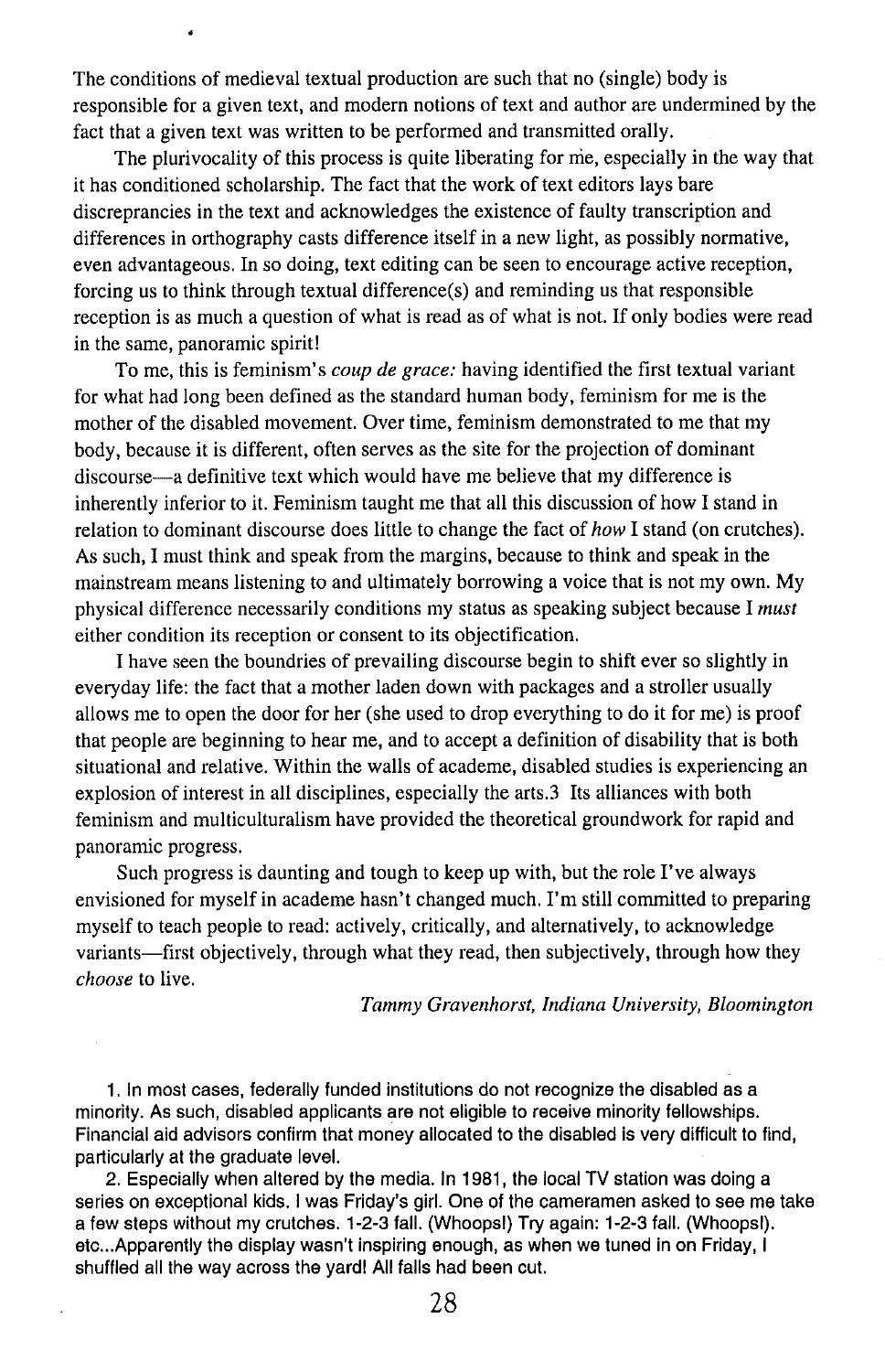The conditions of medieval textual production are such that no (single) body is responsible for a given text, and modern notions of text and author are undermined by the fact that a given text was written to be performed and transmitted orally.

The plurivocality of this process is quite liberating for me, especially in the way that it has conditioned scholarship. The fact that the work of text editors lays bare discreprancies in the text and acknowledges the existence of faulty transcription and differences in orthography casts difference itself in a new light, as possibly normative, even advantageous. In so doing, text editing can be seen to encourage active reception, forcing us to think through textual difference(s) and reminding us that responsible reception is as much a question of what is read as of what is not. If only bodies were read in the same, panoramic spirit!

To me, this is feminism's *coup de grace:* having identified the first textual variant for what had long been defined as the standard human body, feminism for me is the mother of the disabled movement. Over time, feminism demonstrated to me that my body, because it is different, often serves as the site for the projection of dominant discourse—a definitive text which would have me believe that my difference is inherently inferior to it. Feminism taught me that all this discussion of how I stand in relation to dominant discourse does little to change the fact of *how* I stand (on crutches). As such, I must think and speak from the margins, because to think and speak in the mainstream means listening to and ultimately borrowing a voice that is not my own. My physical difference necessarily conditions my status as speaking subject because I *must* either condition its reception or consent to its objectification.

I have seen the boundries of prevailing discourse begin to shift ever so slightly in everyday life: the fact that a mother laden down with packages and a stroller usually allows me to open the door for her (she used to drop everything to do it for me) is proof that people are beginning to hear me, and to accept a definition of disability that is both situational and relative. Within the walls of academe, disabled studies is experiencing an explosion of interest in all disciplines, especially the arts.3 Its alliances with both feminism and multiculturalism have provided the theoretical groundwork for rapid and panoramic progress.

Such progress is daunting and tough to keep up with, but the role I've always envisioned for myself in academe hasn't changed much. I'm still committed to preparing myself to teach people to read: actively, critically, and alternatively, to acknowledge variants—first objectively, through what they read, then subjectively, through how they *choose* to live.

*Tammy Gravenhorst, Indiana University, Bloomington*

1. In most cases, federally funded institutions do not recognize the disabled as a minority. As such, disabled applicants are not eligible to receive minority fellowships. Financial aid advisors confirm that money allocated to the disabled is very difficult to find, particularly at the graduate level.

2. Especially when altered by the media. In 1981, the local TV station was doing a series on exceptional kids. I was Friday's girl. One of the cameramen asked to see me take a few steps without my crutches. 1-2-3 fall. (Whoops!) Try again: 1-2-3 fall. (Whoops!). etc...Apparently the display wasn't inspiring enough, as when we tuned in on Friday, I shuffled all the way across the yard! All falls had been cut.